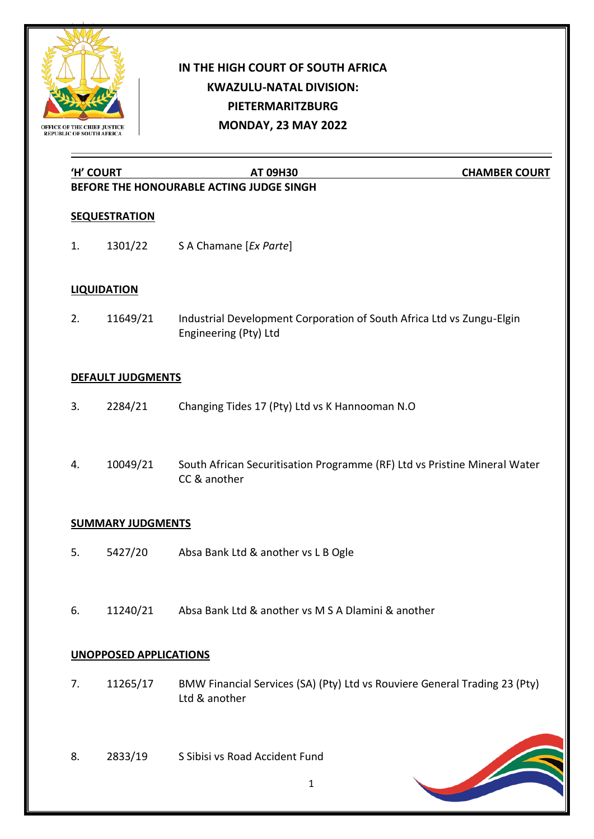

# **IN THE HIGH COURT OF SOUTH AFRICA KWAZULU-NATAL DIVISION: PIETERMARITZBURG MONDAY, 23 MAY 2022**

**'H' COURT AT 09H30 CHAMBER COURT**

## **BEFORE THE HONOURABLE ACTING JUDGE SINGH**

### **SEQUESTRATION**

1. 1301/22 S A Chamane [*Ex Parte*]

### **LIQUIDATION**

2. 11649/21 Industrial Development Corporation of South Africa Ltd vs Zungu-Elgin Engineering (Pty) Ltd

### **DEFAULT JUDGMENTS**

- 3. 2284/21 Changing Tides 17 (Pty) Ltd vs K Hannooman N.O
- 4. 10049/21 South African Securitisation Programme (RF) Ltd vs Pristine Mineral Water CC & another

### **SUMMARY JUDGMENTS**

- 5. 5427/20 Absa Bank Ltd & another vs L B Ogle
- 6. 11240/21 Absa Bank Ltd & another vs M S A Dlamini & another

#### **UNOPPOSED APPLICATIONS**

- 7. 11265/17 BMW Financial Services (SA) (Pty) Ltd vs Rouviere General Trading 23 (Pty) Ltd & another
- 8. 2833/19 S Sibisi vs Road Accident Fund